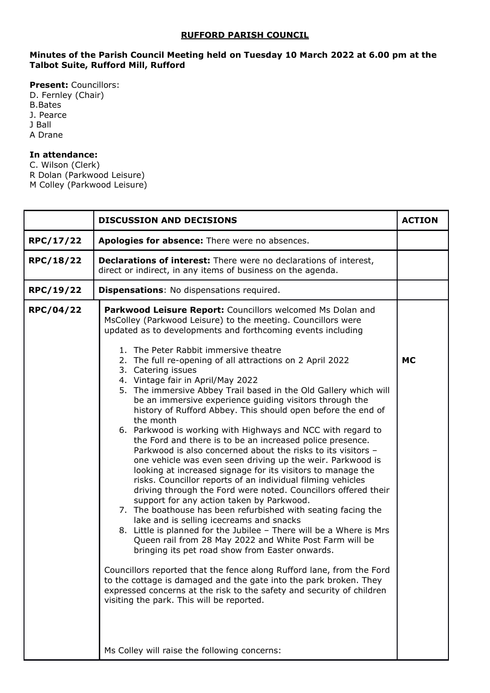## **RUFFORD PARISH COUNCIL**

## **Minutes of the Parish Council Meeting held on Tuesday 10 March 2022 at 6.00 pm at the Talbot Suite, Rufford Mill, Rufford**

**Present:** Councillors: D. Fernley (Chair) B.Bates J. Pearce J Ball A Drane

## **In attendance:**

C. Wilson (Clerk) R Dolan (Parkwood Leisure) M Colley (Parkwood Leisure)

|           | <b>DISCUSSION AND DECISIONS</b>                                                                                                                                                                                                                                                                                                                                                                                                                                                                                                                                                                                                                                                                                                                                                                                                                                                                                                                                                                                                                                                                                                                                                                                                                                                                                                                                                                                                                                                                                                                                                                                                                                                                     | <b>ACTION</b> |
|-----------|-----------------------------------------------------------------------------------------------------------------------------------------------------------------------------------------------------------------------------------------------------------------------------------------------------------------------------------------------------------------------------------------------------------------------------------------------------------------------------------------------------------------------------------------------------------------------------------------------------------------------------------------------------------------------------------------------------------------------------------------------------------------------------------------------------------------------------------------------------------------------------------------------------------------------------------------------------------------------------------------------------------------------------------------------------------------------------------------------------------------------------------------------------------------------------------------------------------------------------------------------------------------------------------------------------------------------------------------------------------------------------------------------------------------------------------------------------------------------------------------------------------------------------------------------------------------------------------------------------------------------------------------------------------------------------------------------------|---------------|
| RPC/17/22 | Apologies for absence: There were no absences.                                                                                                                                                                                                                                                                                                                                                                                                                                                                                                                                                                                                                                                                                                                                                                                                                                                                                                                                                                                                                                                                                                                                                                                                                                                                                                                                                                                                                                                                                                                                                                                                                                                      |               |
| RPC/18/22 | <b>Declarations of interest:</b> There were no declarations of interest,<br>direct or indirect, in any items of business on the agenda.                                                                                                                                                                                                                                                                                                                                                                                                                                                                                                                                                                                                                                                                                                                                                                                                                                                                                                                                                                                                                                                                                                                                                                                                                                                                                                                                                                                                                                                                                                                                                             |               |
| RPC/19/22 | <b>Dispensations:</b> No dispensations required.                                                                                                                                                                                                                                                                                                                                                                                                                                                                                                                                                                                                                                                                                                                                                                                                                                                                                                                                                                                                                                                                                                                                                                                                                                                                                                                                                                                                                                                                                                                                                                                                                                                    |               |
| RPC/04/22 | Parkwood Leisure Report: Councillors welcomed Ms Dolan and<br>MsColley (Parkwood Leisure) to the meeting. Councillors were<br>updated as to developments and forthcoming events including<br>1. The Peter Rabbit immersive theatre<br>2. The full re-opening of all attractions on 2 April 2022<br>3. Catering issues<br>4. Vintage fair in April/May 2022<br>5. The immersive Abbey Trail based in the Old Gallery which will<br>be an immersive experience guiding visitors through the<br>history of Rufford Abbey. This should open before the end of<br>the month<br>6. Parkwood is working with Highways and NCC with regard to<br>the Ford and there is to be an increased police presence.<br>Parkwood is also concerned about the risks to its visitors -<br>one vehicle was even seen driving up the weir. Parkwood is<br>looking at increased signage for its visitors to manage the<br>risks. Councillor reports of an individual filming vehicles<br>driving through the Ford were noted. Councillors offered their<br>support for any action taken by Parkwood.<br>7. The boathouse has been refurbished with seating facing the<br>lake and is selling icecreams and snacks<br>8. Little is planned for the Jubilee - There will be a Where is Mrs<br>Queen rail from 28 May 2022 and White Post Farm will be<br>bringing its pet road show from Easter onwards.<br>Councillors reported that the fence along Rufford lane, from the Ford<br>to the cottage is damaged and the gate into the park broken. They<br>expressed concerns at the risk to the safety and security of children<br>visiting the park. This will be reported.<br>Ms Colley will raise the following concerns: | <b>MC</b>     |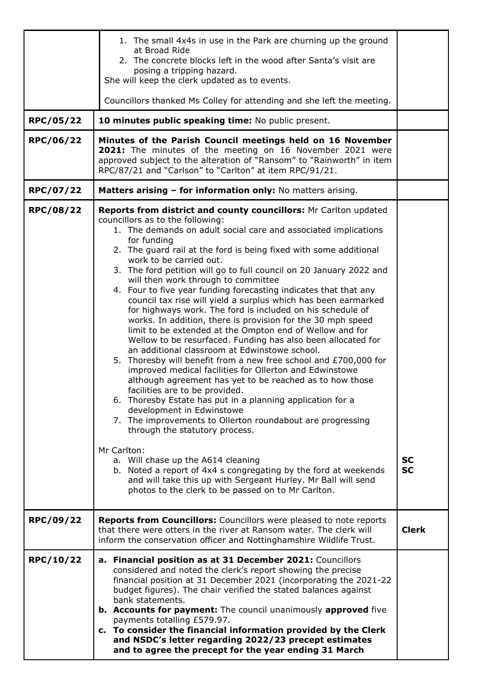| RPC/05/22<br>RPC/06/22 | 1. The small 4x4s in use in the Park are churning up the ground<br>at Broad Ride<br>2. The concrete blocks left in the wood after Santa's visit are<br>posing a tripping hazard.<br>She will keep the clerk updated as to events.<br>Councillors thanked Ms Colley for attending and she left the meeting.<br>10 minutes public speaking time: No public present.<br>Minutes of the Parish Council meetings held on 16 November<br>2021: The minutes of the meeting on 16 November 2021 were<br>approved subject to the alteration of "Ransom" to "Rainworth" in item<br>RPC/87/21 and "Carlson" to "Carlton" at item RPC/91/21.                                                                                                                                                                                                                                                                                                                                                                                                                                                                                                                                                                                                                                                                                                                                                                                                                                                                                            |                        |
|------------------------|-----------------------------------------------------------------------------------------------------------------------------------------------------------------------------------------------------------------------------------------------------------------------------------------------------------------------------------------------------------------------------------------------------------------------------------------------------------------------------------------------------------------------------------------------------------------------------------------------------------------------------------------------------------------------------------------------------------------------------------------------------------------------------------------------------------------------------------------------------------------------------------------------------------------------------------------------------------------------------------------------------------------------------------------------------------------------------------------------------------------------------------------------------------------------------------------------------------------------------------------------------------------------------------------------------------------------------------------------------------------------------------------------------------------------------------------------------------------------------------------------------------------------------|------------------------|
| RPC/07/22              | Matters arising - for information only: No matters arising.                                                                                                                                                                                                                                                                                                                                                                                                                                                                                                                                                                                                                                                                                                                                                                                                                                                                                                                                                                                                                                                                                                                                                                                                                                                                                                                                                                                                                                                                 |                        |
| <b>RPC/08/22</b>       | Reports from district and county councillors: Mr Carlton updated<br>councillors as to the following:<br>1. The demands on adult social care and associated implications<br>for funding<br>2. The guard rail at the ford is being fixed with some additional<br>work to be carried out.<br>3. The ford petition will go to full council on 20 January 2022 and<br>will then work through to committee<br>4. Four to five year funding forecasting indicates that that any<br>council tax rise will yield a surplus which has been earmarked<br>for highways work. The ford is included on his schedule of<br>works. In addition, there is provision for the 30 mph speed<br>limit to be extended at the Ompton end of Wellow and for<br>Wellow to be resurfaced. Funding has also been allocated for<br>an additional classroom at Edwinstowe school.<br>5. Thoresby will benefit from a new free school and £700,000 for<br>improved medical facilities for Ollerton and Edwinstowe<br>although agreement has yet to be reached as to how those<br>facilities are to be provided.<br>6. Thoresby Estate has put in a planning application for a<br>development in Edwinstowe<br>7. The improvements to Ollerton roundabout are progressing<br>through the statutory process.<br>Mr Carlton:<br>a. Will chase up the A614 cleaning<br>b. Noted a report of 4x4 s congregating by the ford at weekends<br>and will take this up with Sergeant Hurley. Mr Ball will send<br>photos to the clerk to be passed on to Mr Carlton. | <b>SC</b><br><b>SC</b> |
| RPC/09/22              | Reports from Councillors: Councillors were pleased to note reports<br>that there were otters in the river at Ransom water. The clerk will<br>inform the conservation officer and Nottinghamshire Wildlife Trust.                                                                                                                                                                                                                                                                                                                                                                                                                                                                                                                                                                                                                                                                                                                                                                                                                                                                                                                                                                                                                                                                                                                                                                                                                                                                                                            | <b>Clerk</b>           |
| RPC/10/22              | a. Financial position as at 31 December 2021: Councillors<br>considered and noted the clerk's report showing the precise<br>financial position at 31 December 2021 (incorporating the 2021-22<br>budget figures). The chair verified the stated balances against<br>bank statements.<br>b. Accounts for payment: The council unanimously approved five<br>payments totalling £579.97.<br>c. To consider the financial information provided by the Clerk<br>and NSDC's letter regarding 2022/23 precept estimates<br>and to agree the precept for the year ending 31 March                                                                                                                                                                                                                                                                                                                                                                                                                                                                                                                                                                                                                                                                                                                                                                                                                                                                                                                                                   |                        |